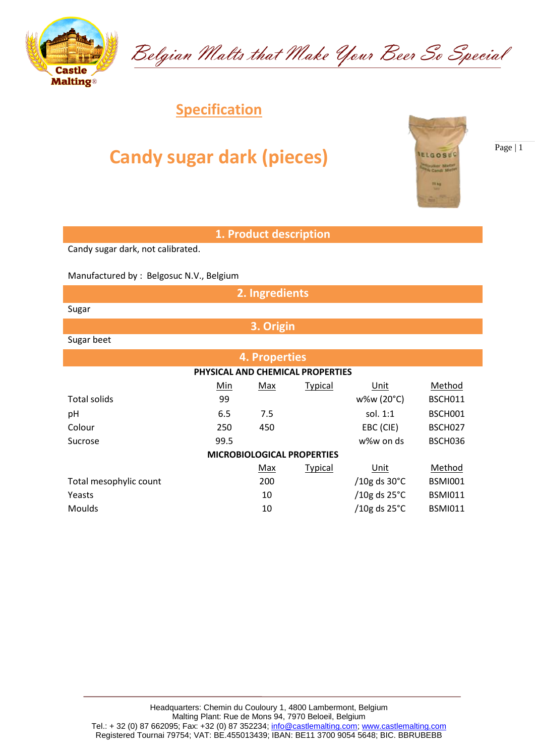

## **Candy sugar dark (pieces)**

**1. Product description**

Belgian Malts that Make Your Beer So Special

Candy sugar dark, not calibrated.

Manufactured by : Belgosuc N.V., Belgium

**2. Ingredients**

Sugar

Sugar beet

| <b>4. Properties</b>              |      |     |                |                        |                |  |  |  |  |
|-----------------------------------|------|-----|----------------|------------------------|----------------|--|--|--|--|
| PHYSICAL AND CHEMICAL PROPERTIES  |      |     |                |                        |                |  |  |  |  |
|                                   | Min  | Max | <b>Typical</b> | Unit                   | Method         |  |  |  |  |
| <b>Total solids</b>               | 99   |     |                | w%w (20°C)             | BSCH011        |  |  |  |  |
| pH                                | 6.5  | 7.5 |                | sol. $1:1$             | BSCH001        |  |  |  |  |
| Colour                            | 250  | 450 |                | EBC (CIE)              | BSCH027        |  |  |  |  |
| Sucrose                           | 99.5 |     |                | w%w on ds              | BSCH036        |  |  |  |  |
| <b>MICROBIOLOGICAL PROPERTIES</b> |      |     |                |                        |                |  |  |  |  |
|                                   |      | Max | <b>Typical</b> | Unit                   | Method         |  |  |  |  |
| Total mesophylic count            |      | 200 |                | /10g ds $30^{\circ}$ C | <b>BSMI001</b> |  |  |  |  |
| Yeasts                            |      | 10  |                | /10g ds $25^{\circ}$ C | <b>BSMI011</b> |  |  |  |  |
| <b>Moulds</b>                     |      | 10  |                | /10g ds $25^{\circ}$ C | <b>BSMI011</b> |  |  |  |  |



Page | 1



**3. Origin**